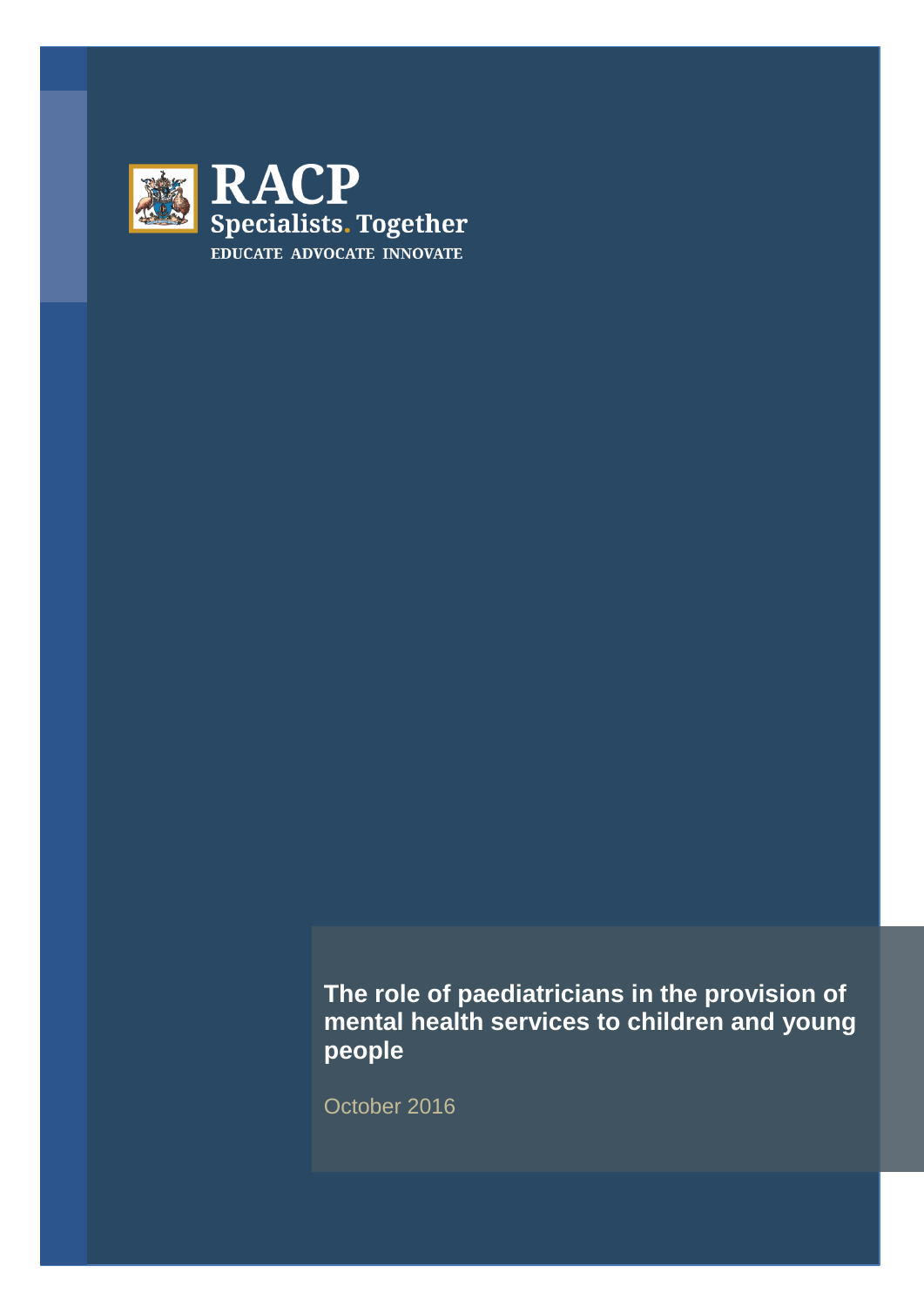

**The role of paediatricians in the provision of mental health services to children and young people**

October 2016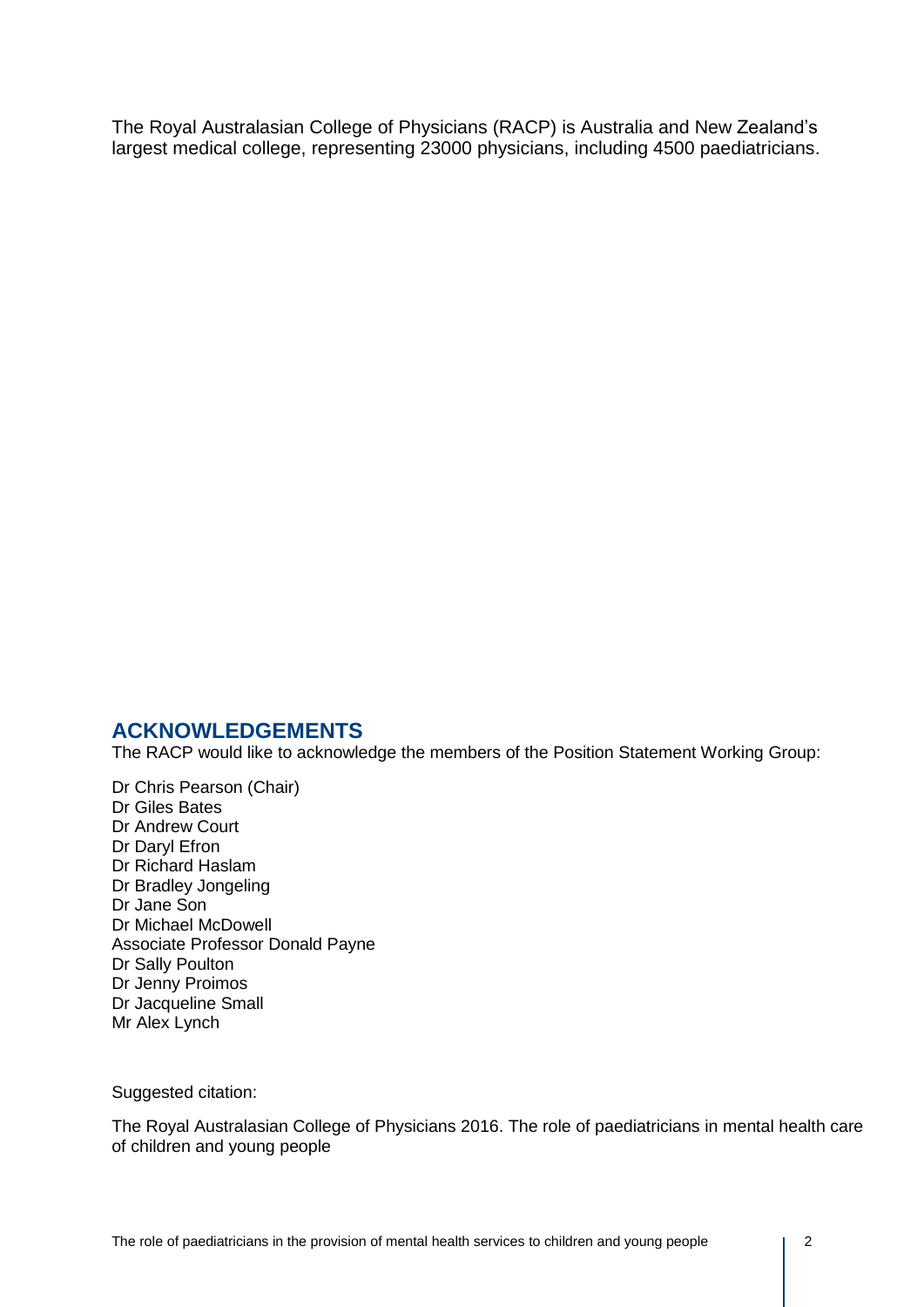The Royal Australasian College of Physicians (RACP) is Australia and New Zealand's largest medical college, representing 23000 physicians, including 4500 paediatricians.

## **ACKNOWLEDGEMENTS**

The RACP would like to acknowledge the members of the Position Statement Working Group:

Dr Chris Pearson (Chair) Dr Giles Bates Dr Andrew Court Dr Daryl Efron Dr Richard Haslam Dr Bradley Jongeling Dr Jane Son Dr Michael McDowell Associate Professor Donald Payne Dr Sally Poulton Dr Jenny Proimos Dr Jacqueline Small Mr Alex Lynch

Suggested citation:

The Royal Australasian College of Physicians 2016. The role of paediatricians in mental health care of children and young people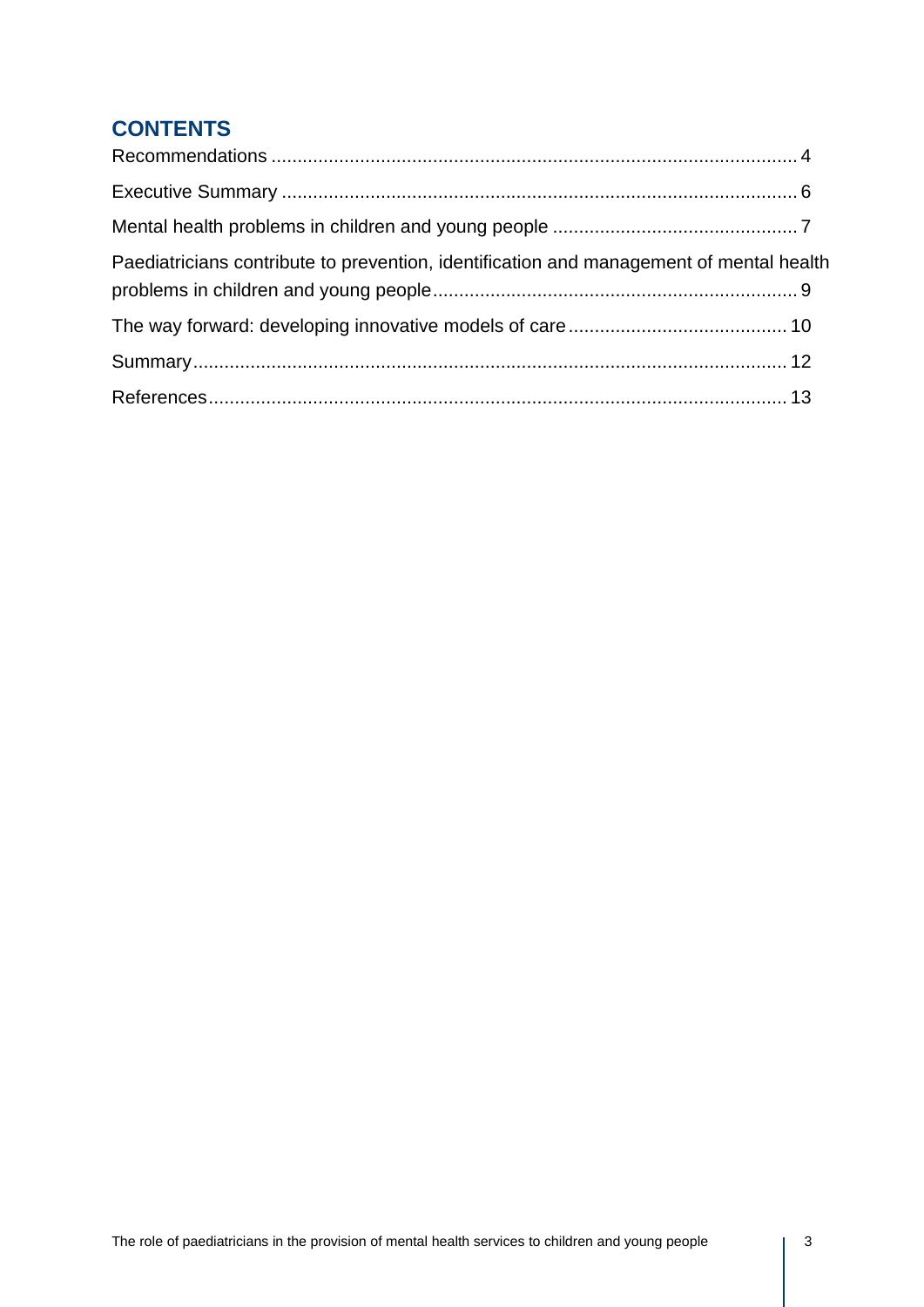# **CONTENTS**

| Paediatricians contribute to prevention, identification and management of mental health |  |
|-----------------------------------------------------------------------------------------|--|
|                                                                                         |  |
|                                                                                         |  |
|                                                                                         |  |
|                                                                                         |  |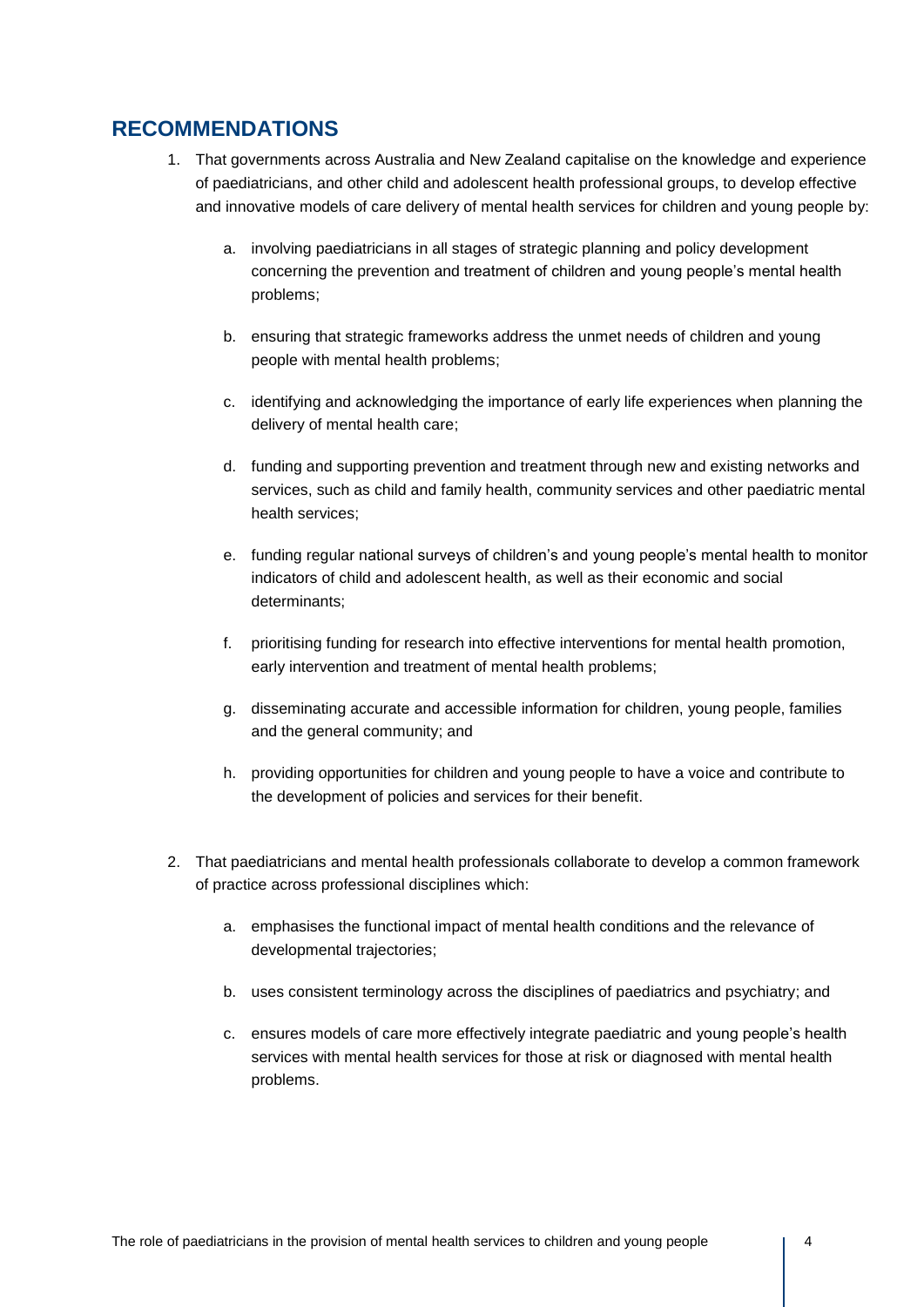## **RECOMMENDATIONS**

- 1. That governments across Australia and New Zealand capitalise on the knowledge and experience of paediatricians, and other child and adolescent health professional groups, to develop effective and innovative models of care delivery of mental health services for children and young people by:
	- a. involving paediatricians in all stages of strategic planning and policy development concerning the prevention and treatment of children and young people's mental health problems;
	- b. ensuring that strategic frameworks address the unmet needs of children and young people with mental health problems;
	- c. identifying and acknowledging the importance of early life experiences when planning the delivery of mental health care;
	- d. funding and supporting prevention and treatment through new and existing networks and services, such as child and family health, community services and other paediatric mental health services;
	- e. funding regular national surveys of children's and young people's mental health to monitor indicators of child and adolescent health, as well as their economic and social determinants;
	- f. prioritising funding for research into effective interventions for mental health promotion, early intervention and treatment of mental health problems;
	- g. disseminating accurate and accessible information for children, young people, families and the general community; and
	- h. providing opportunities for children and young people to have a voice and contribute to the development of policies and services for their benefit.
- 2. That paediatricians and mental health professionals collaborate to develop a common framework of practice across professional disciplines which:
	- a. emphasises the functional impact of mental health conditions and the relevance of developmental trajectories;
	- b. uses consistent terminology across the disciplines of paediatrics and psychiatry; and
	- c. ensures models of care more effectively integrate paediatric and young people's health services with mental health services for those at risk or diagnosed with mental health problems.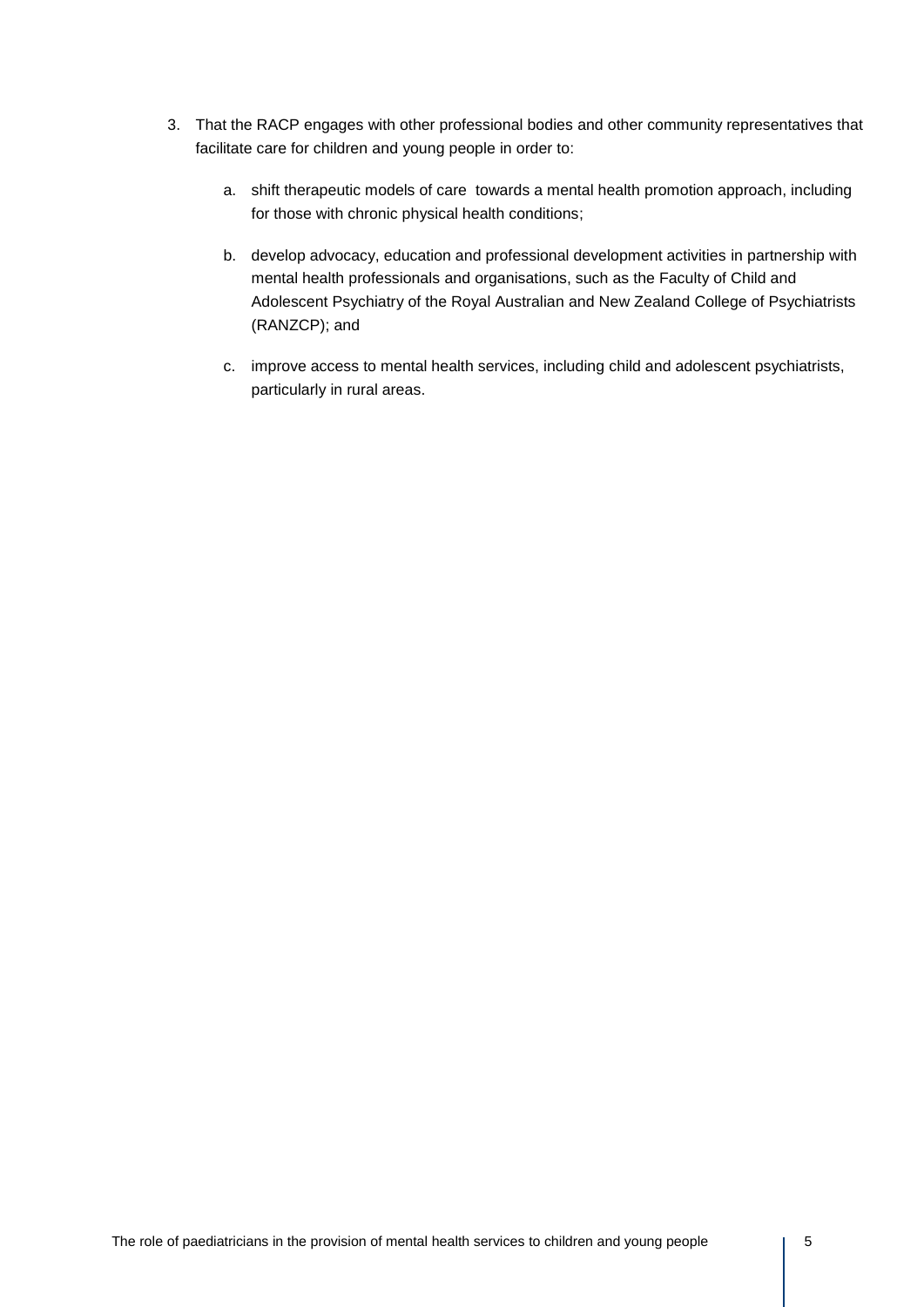- 3. That the RACP engages with other professional bodies and other community representatives that facilitate care for children and young people in order to:
	- a. shift therapeutic models of care towards a mental health promotion approach, including for those with chronic physical health conditions;
	- b. develop advocacy, education and professional development activities in partnership with mental health professionals and organisations, such as the Faculty of Child and Adolescent Psychiatry of the Royal Australian and New Zealand College of Psychiatrists (RANZCP); and
	- c. improve access to mental health services, including child and adolescent psychiatrists, particularly in rural areas.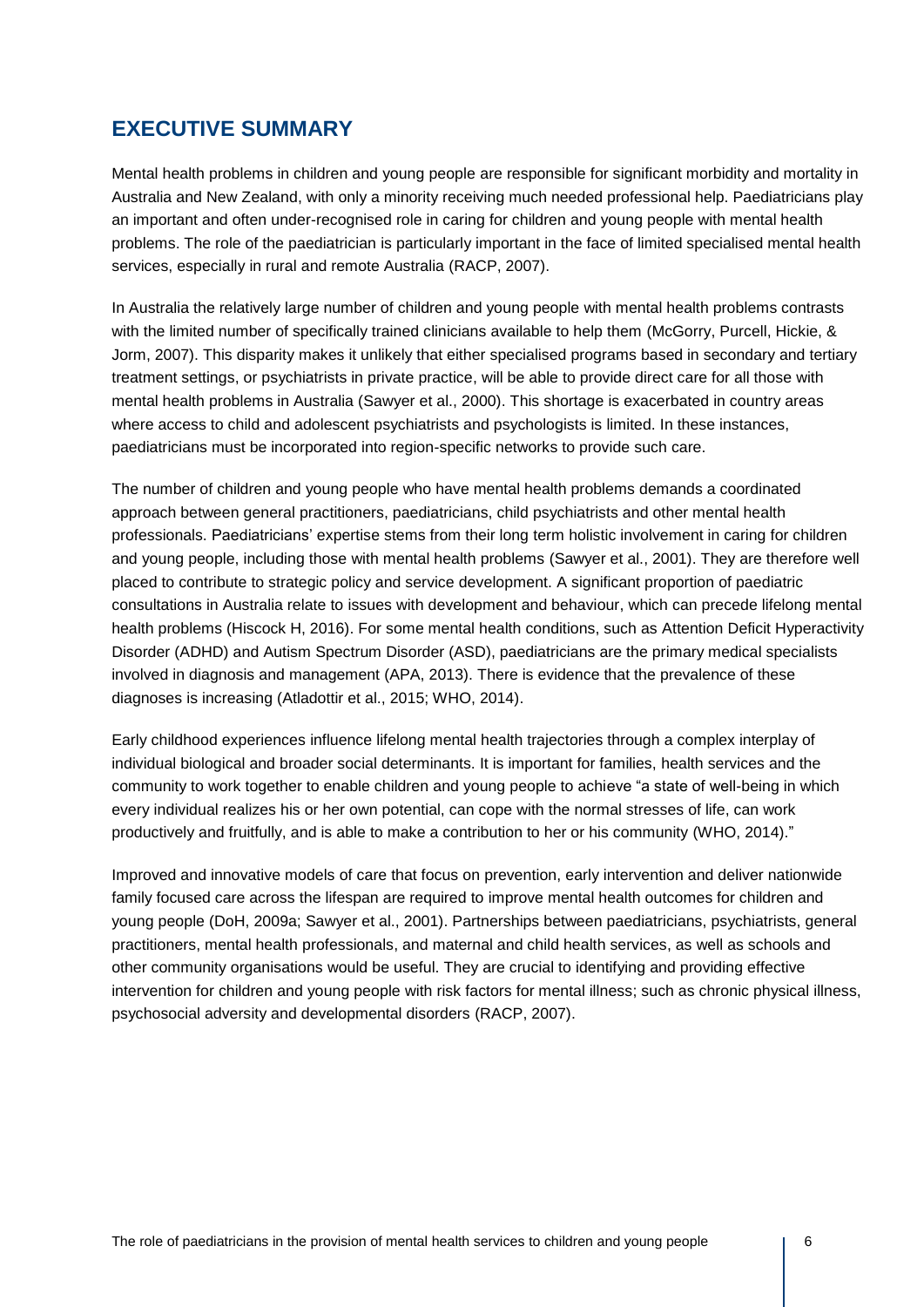## **EXECUTIVE SUMMARY**

Mental health problems in children and young people are responsible for significant morbidity and mortality in Australia and New Zealand, with only a minority receiving much needed professional help. Paediatricians play an important and often under-recognised role in caring for children and young people with mental health problems. The role of the paediatrician is particularly important in the face of limited specialised mental health services, especially in rural and remote Australia (RACP, 2007).

In Australia the relatively large number of children and young people with mental health problems contrasts with the limited number of specifically trained clinicians available to help them (McGorry, Purcell, Hickie, & Jorm, 2007). This disparity makes it unlikely that either specialised programs based in secondary and tertiary treatment settings, or psychiatrists in private practice, will be able to provide direct care for all those with mental health problems in Australia (Sawyer et al., 2000). This shortage is exacerbated in country areas where access to child and adolescent psychiatrists and psychologists is limited. In these instances, paediatricians must be incorporated into region-specific networks to provide such care.

The number of children and young people who have mental health problems demands a coordinated approach between general practitioners, paediatricians, child psychiatrists and other mental health professionals. Paediatricians' expertise stems from their long term holistic involvement in caring for children and young people, including those with mental health problems (Sawyer et al., 2001). They are therefore well placed to contribute to strategic policy and service development. A significant proportion of paediatric consultations in Australia relate to issues with development and behaviour, which can precede lifelong mental health problems (Hiscock H, 2016). For some mental health conditions, such as Attention Deficit Hyperactivity Disorder (ADHD) and Autism Spectrum Disorder (ASD), paediatricians are the primary medical specialists involved in diagnosis and management (APA, 2013). There is evidence that the prevalence of these diagnoses is increasing (Atladottir et al., 2015; WHO, 2014).

Early childhood experiences influence lifelong mental health trajectories through a complex interplay of individual biological and broader social determinants. It is important for families, health services and the community to work together to enable children and young people to achieve "a state of well-being in which every individual realizes his or her own potential, can cope with the normal stresses of life, can work productively and fruitfully, and is able to make a contribution to her or his community (WHO, 2014)."

Improved and innovative models of care that focus on prevention, early intervention and deliver nationwide family focused care across the lifespan are required to improve mental health outcomes for children and young people (DoH, 2009a; Sawyer et al., 2001). Partnerships between paediatricians, psychiatrists, general practitioners, mental health professionals, and maternal and child health services, as well as schools and other community organisations would be useful. They are crucial to identifying and providing effective intervention for children and young people with risk factors for mental illness; such as chronic physical illness, psychosocial adversity and developmental disorders (RACP, 2007).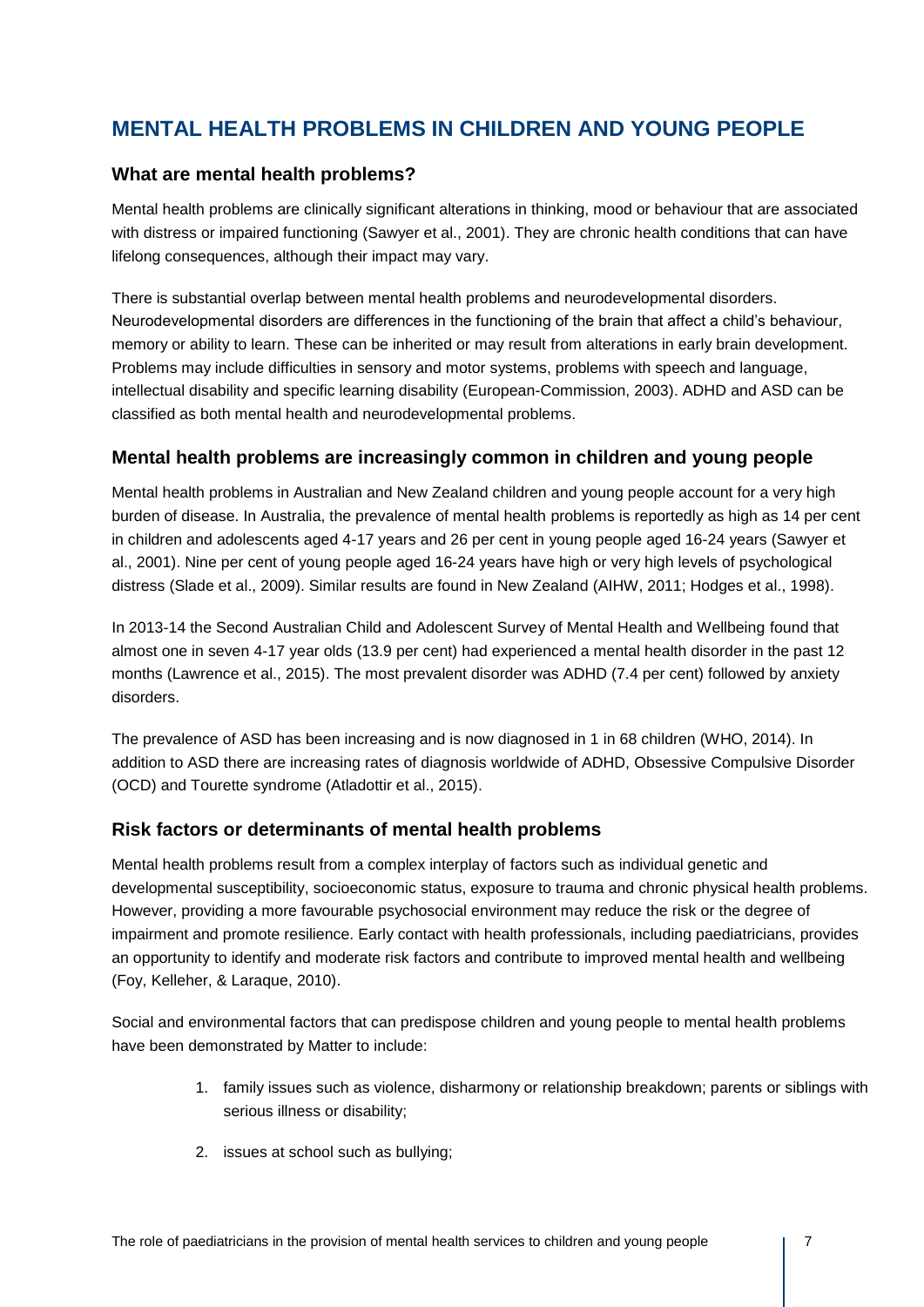# **MENTAL HEALTH PROBLEMS IN CHILDREN AND YOUNG PEOPLE**

#### **What are mental health problems?**

Mental health problems are clinically significant alterations in thinking, mood or behaviour that are associated with distress or impaired functioning (Sawyer et al., 2001). They are chronic health conditions that can have lifelong consequences, although their impact may vary.

There is substantial overlap between mental health problems and neurodevelopmental disorders. Neurodevelopmental disorders are differences in the functioning of the brain that affect a child's behaviour, memory or ability to learn. These can be inherited or may result from alterations in early brain development. Problems may include difficulties in sensory and motor systems, problems with speech and language, intellectual disability and specific learning disability (European-Commission, 2003). ADHD and ASD can be classified as both mental health and neurodevelopmental problems.

#### **Mental health problems are increasingly common in children and young people**

Mental health problems in Australian and New Zealand children and young people account for a very high burden of disease. In Australia, the prevalence of mental health problems is reportedly as high as 14 per cent in children and adolescents aged 4-17 years and 26 per cent in young people aged 16-24 years (Sawyer et al., 2001). Nine per cent of young people aged 16-24 years have high or very high levels of psychological distress (Slade et al., 2009). Similar results are found in New Zealand (AIHW, 2011; Hodges et al., 1998).

In 2013-14 the Second Australian Child and Adolescent Survey of Mental Health and Wellbeing found that almost one in seven 4-17 year olds (13.9 per cent) had experienced a mental health disorder in the past 12 months (Lawrence et al., 2015). The most prevalent disorder was ADHD (7.4 per cent) followed by anxiety disorders.

The prevalence of ASD has been increasing and is now diagnosed in 1 in 68 children (WHO, 2014). In addition to ASD there are increasing rates of diagnosis worldwide of ADHD, Obsessive Compulsive Disorder (OCD) and Tourette syndrome (Atladottir et al., 2015).

#### **Risk factors or determinants of mental health problems**

Mental health problems result from a complex interplay of factors such as individual genetic and developmental susceptibility, socioeconomic status, exposure to trauma and chronic physical health problems. However, providing a more favourable psychosocial environment may reduce the risk or the degree of impairment and promote resilience. Early contact with health professionals, including paediatricians, provides an opportunity to identify and moderate risk factors and contribute to improved mental health and wellbeing (Foy, Kelleher, & Laraque, 2010).

Social and environmental factors that can predispose children and young people to mental health problems have been demonstrated by Matter to include:

- 1. family issues such as violence, disharmony or relationship breakdown; parents or siblings with serious illness or disability;
- 2. issues at school such as bullying;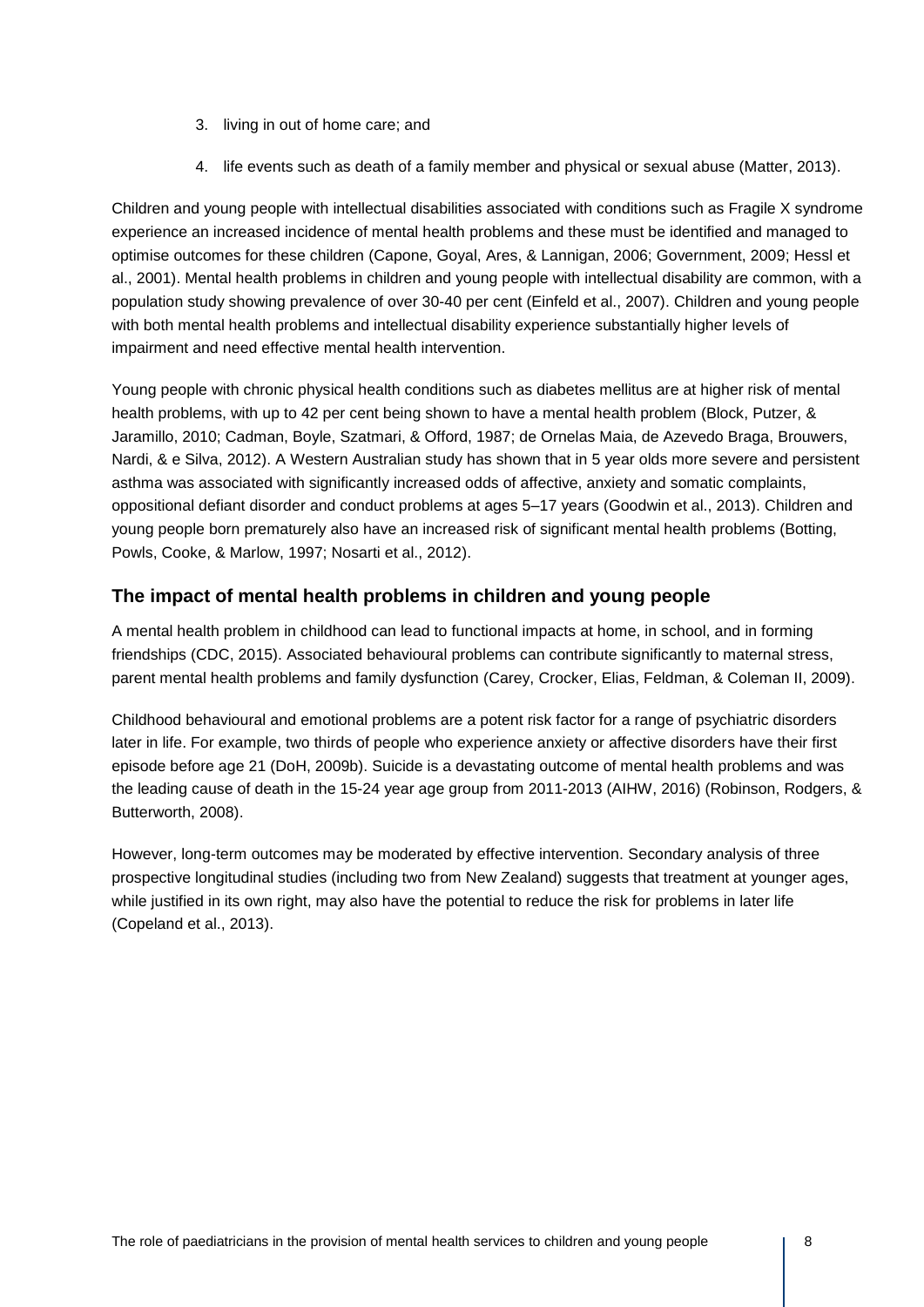- 3. living in out of home care; and
- 4. life events such as death of a family member and physical or sexual abuse (Matter, 2013).

Children and young people with intellectual disabilities associated with conditions such as Fragile X syndrome experience an increased incidence of mental health problems and these must be identified and managed to optimise outcomes for these children (Capone, Goyal, Ares, & Lannigan, 2006; Government, 2009; Hessl et al., 2001). Mental health problems in children and young people with intellectual disability are common, with a population study showing prevalence of over 30-40 per cent (Einfeld et al., 2007). Children and young people with both mental health problems and intellectual disability experience substantially higher levels of impairment and need effective mental health intervention.

Young people with chronic physical health conditions such as diabetes mellitus are at higher risk of mental health problems, with up to 42 per cent being shown to have a mental health problem (Block, Putzer, & Jaramillo, 2010; Cadman, Boyle, Szatmari, & Offord, 1987; de Ornelas Maia, de Azevedo Braga, Brouwers, Nardi, & e Silva, 2012). A Western Australian study has shown that in 5 year olds more severe and persistent asthma was associated with significantly increased odds of affective, anxiety and somatic complaints, oppositional defiant disorder and conduct problems at ages 5–17 years (Goodwin et al., 2013). Children and young people born prematurely also have an increased risk of significant mental health problems (Botting, Powls, Cooke, & Marlow, 1997; Nosarti et al., 2012).

#### **The impact of mental health problems in children and young people**

A mental health problem in childhood can lead to functional impacts at home, in school, and in forming friendships (CDC, 2015). Associated behavioural problems can contribute significantly to maternal stress, parent mental health problems and family dysfunction (Carey, Crocker, Elias, Feldman, & Coleman II, 2009).

Childhood behavioural and emotional problems are a potent risk factor for a range of psychiatric disorders later in life. For example, two thirds of people who experience anxiety or affective disorders have their first episode before age 21 (DoH, 2009b). Suicide is a devastating outcome of mental health problems and was the leading cause of death in the 15-24 year age group from 2011-2013 (AIHW, 2016) (Robinson, Rodgers, & Butterworth, 2008).

However, long-term outcomes may be moderated by effective intervention. Secondary analysis of three prospective longitudinal studies (including two from New Zealand) suggests that treatment at younger ages, while justified in its own right, may also have the potential to reduce the risk for problems in later life (Copeland et al., 2013).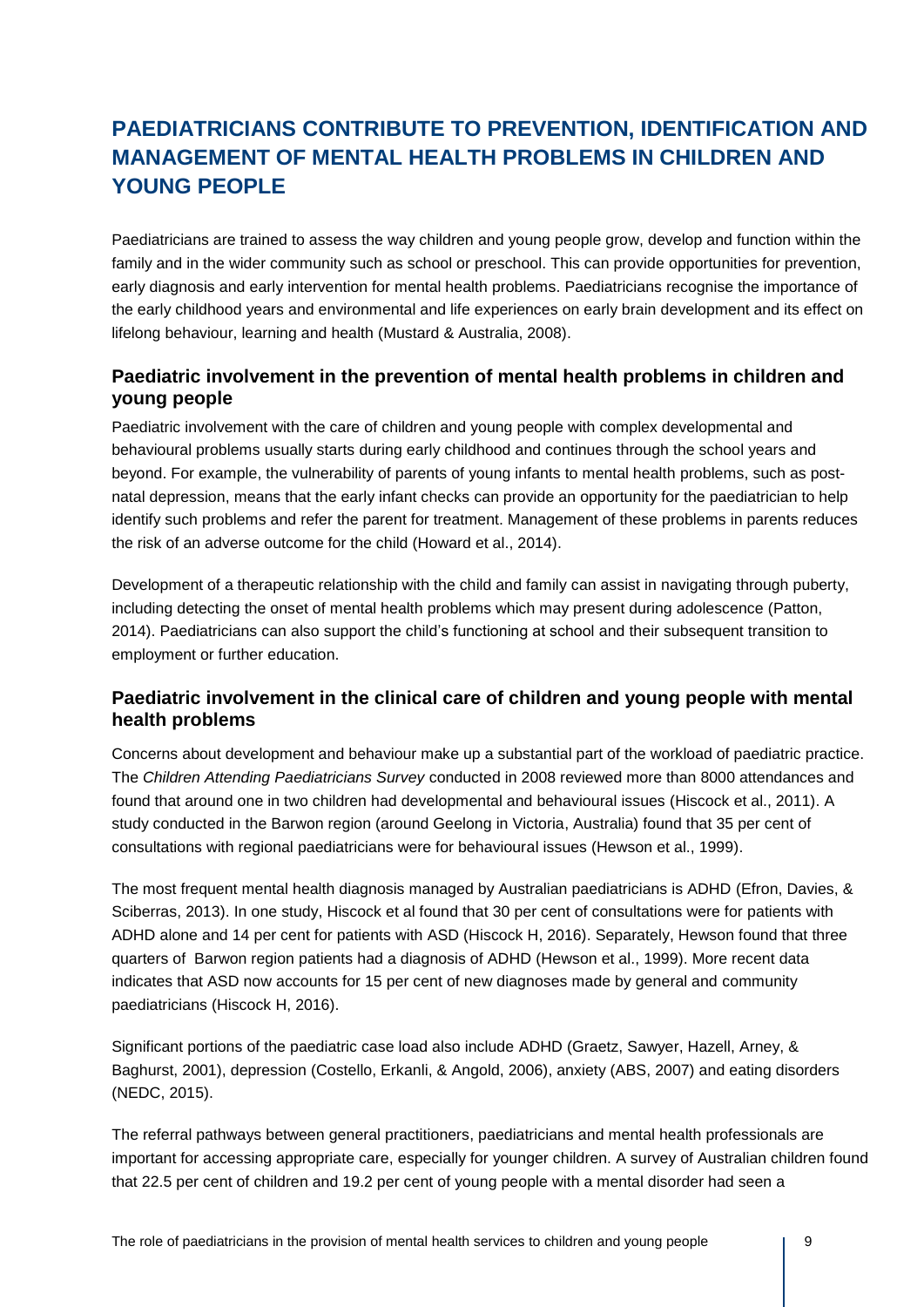# **PAEDIATRICIANS CONTRIBUTE TO PREVENTION, IDENTIFICATION AND MANAGEMENT OF MENTAL HEALTH PROBLEMS IN CHILDREN AND YOUNG PEOPLE**

Paediatricians are trained to assess the way children and young people grow, develop and function within the family and in the wider community such as school or preschool. This can provide opportunities for prevention, early diagnosis and early intervention for mental health problems. Paediatricians recognise the importance of the early childhood years and environmental and life experiences on early brain development and its effect on lifelong behaviour, learning and health (Mustard & Australia, 2008).

### **Paediatric involvement in the prevention of mental health problems in children and young people**

Paediatric involvement with the care of children and young people with complex developmental and behavioural problems usually starts during early childhood and continues through the school years and beyond. For example, the vulnerability of parents of young infants to mental health problems, such as postnatal depression, means that the early infant checks can provide an opportunity for the paediatrician to help identify such problems and refer the parent for treatment. Management of these problems in parents reduces the risk of an adverse outcome for the child (Howard et al., 2014).

Development of a therapeutic relationship with the child and family can assist in navigating through puberty, including detecting the onset of mental health problems which may present during adolescence (Patton, 2014). Paediatricians can also support the child's functioning at school and their subsequent transition to employment or further education.

### **Paediatric involvement in the clinical care of children and young people with mental health problems**

Concerns about development and behaviour make up a substantial part of the workload of paediatric practice. The *Children Attending Paediatricians Survey* conducted in 2008 reviewed more than 8000 attendances and found that around one in two children had developmental and behavioural issues (Hiscock et al., 2011). A study conducted in the Barwon region (around Geelong in Victoria, Australia) found that 35 per cent of consultations with regional paediatricians were for behavioural issues (Hewson et al., 1999).

The most frequent mental health diagnosis managed by Australian paediatricians is ADHD (Efron, Davies, & Sciberras, 2013). In one study, Hiscock et al found that 30 per cent of consultations were for patients with ADHD alone and 14 per cent for patients with ASD (Hiscock H, 2016). Separately, Hewson found that three quarters of Barwon region patients had a diagnosis of ADHD (Hewson et al., 1999). More recent data indicates that ASD now accounts for 15 per cent of new diagnoses made by general and community paediatricians (Hiscock H, 2016).

Significant portions of the paediatric case load also include ADHD (Graetz, Sawyer, Hazell, Arney, & Baghurst, 2001), depression (Costello, Erkanli, & Angold, 2006), anxiety (ABS, 2007) and eating disorders (NEDC, 2015).

The referral pathways between general practitioners, paediatricians and mental health professionals are important for accessing appropriate care, especially for younger children. A survey of Australian children found that 22.5 per cent of children and 19.2 per cent of young people with a mental disorder had seen a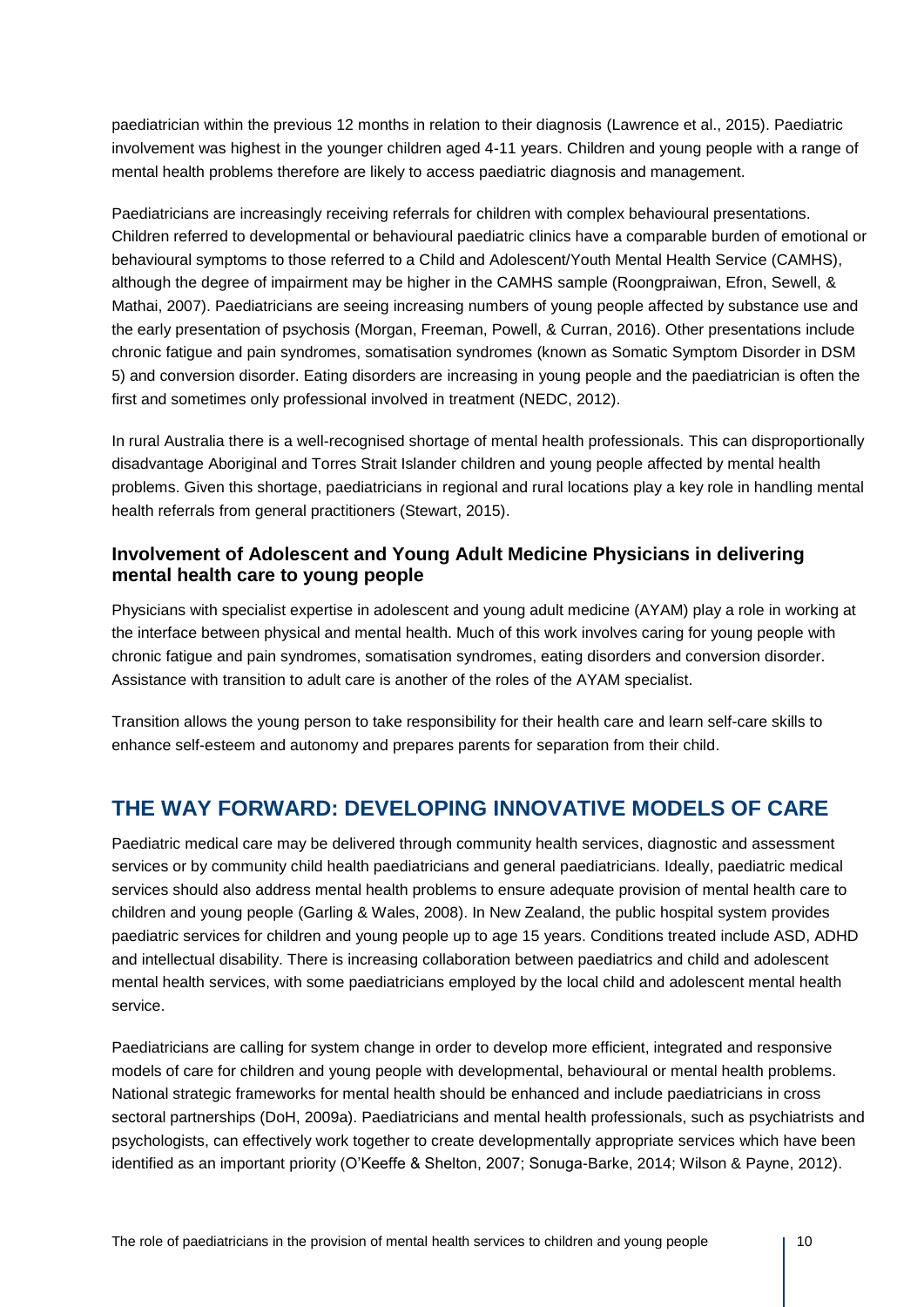paediatrician within the previous 12 months in relation to their diagnosis (Lawrence et al., 2015). Paediatric involvement was highest in the younger children aged 4-11 years. Children and young people with a range of mental health problems therefore are likely to access paediatric diagnosis and management.

Paediatricians are increasingly receiving referrals for children with complex behavioural presentations. Children referred to developmental or behavioural paediatric clinics have a comparable burden of emotional or behavioural symptoms to those referred to a Child and Adolescent/Youth Mental Health Service (CAMHS), although the degree of impairment may be higher in the CAMHS sample (Roongpraiwan, Efron, Sewell, & Mathai, 2007). Paediatricians are seeing increasing numbers of young people affected by substance use and the early presentation of psychosis (Morgan, Freeman, Powell, & Curran, 2016). Other presentations include chronic fatigue and pain syndromes, somatisation syndromes (known as Somatic Symptom Disorder in DSM 5) and conversion disorder. Eating disorders are increasing in young people and the paediatrician is often the first and sometimes only professional involved in treatment (NEDC, 2012).

In rural Australia there is a well-recognised shortage of mental health professionals. This can disproportionally disadvantage Aboriginal and Torres Strait Islander children and young people affected by mental health problems. Given this shortage, paediatricians in regional and rural locations play a key role in handling mental health referrals from general practitioners (Stewart, 2015).

### **Involvement of Adolescent and Young Adult Medicine Physicians in delivering mental health care to young people**

Physicians with specialist expertise in adolescent and young adult medicine (AYAM) play a role in working at the interface between physical and mental health. Much of this work involves caring for young people with chronic fatigue and pain syndromes, somatisation syndromes, eating disorders and conversion disorder. Assistance with transition to adult care is another of the roles of the AYAM specialist.

Transition allows the young person to take responsibility for their health care and learn self-care skills to enhance self-esteem and autonomy and prepares parents for separation from their child.

## **THE WAY FORWARD: DEVELOPING INNOVATIVE MODELS OF CARE**

Paediatric medical care may be delivered through community health services, diagnostic and assessment services or by community child health paediatricians and general paediatricians. Ideally, paediatric medical services should also address mental health problems to ensure adequate provision of mental health care to children and young people (Garling & Wales, 2008). In New Zealand, the public hospital system provides paediatric services for children and young people up to age 15 years. Conditions treated include ASD, ADHD and intellectual disability. There is increasing collaboration between paediatrics and child and adolescent mental health services, with some paediatricians employed by the local child and adolescent mental health service.

Paediatricians are calling for system change in order to develop more efficient, integrated and responsive models of care for children and young people with developmental, behavioural or mental health problems. National strategic frameworks for mental health should be enhanced and include paediatricians in cross sectoral partnerships (DoH, 2009a). Paediatricians and mental health professionals, such as psychiatrists and psychologists, can effectively work together to create developmentally appropriate services which have been identified as an important priority (O'Keeffe & Shelton, 2007; Sonuga-Barke, 2014; Wilson & Payne, 2012).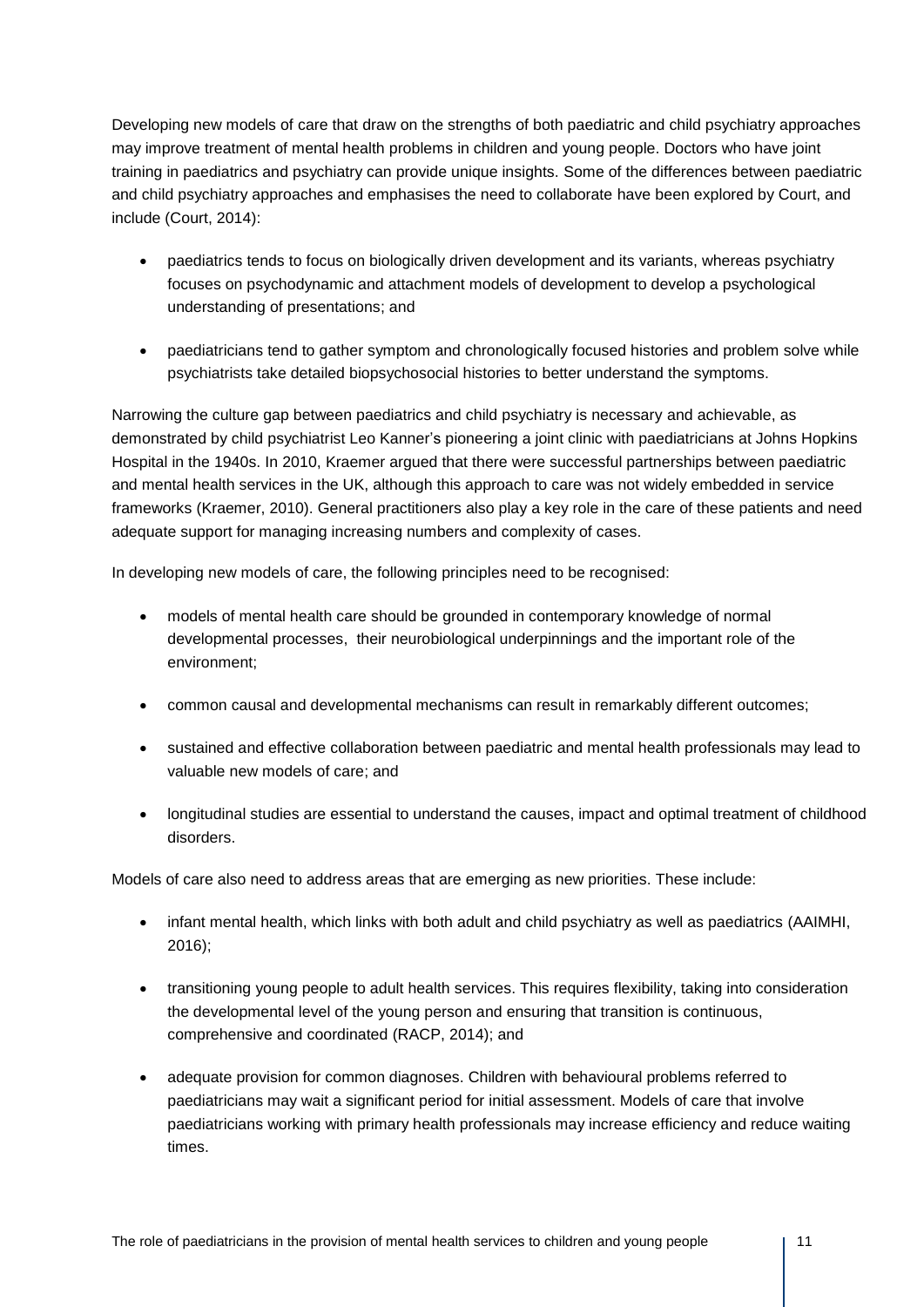Developing new models of care that draw on the strengths of both paediatric and child psychiatry approaches may improve treatment of mental health problems in children and young people. Doctors who have joint training in paediatrics and psychiatry can provide unique insights. Some of the differences between paediatric and child psychiatry approaches and emphasises the need to collaborate have been explored by Court, and include (Court, 2014):

- paediatrics tends to focus on biologically driven development and its variants, whereas psychiatry focuses on psychodynamic and attachment models of development to develop a psychological understanding of presentations; and
- paediatricians tend to gather symptom and chronologically focused histories and problem solve while psychiatrists take detailed biopsychosocial histories to better understand the symptoms.

Narrowing the culture gap between paediatrics and child psychiatry is necessary and achievable, as demonstrated by child psychiatrist Leo Kanner's pioneering a joint clinic with paediatricians at Johns Hopkins Hospital in the 1940s. In 2010, Kraemer argued that there were successful partnerships between paediatric and mental health services in the UK, although this approach to care was not widely embedded in service frameworks (Kraemer, 2010). General practitioners also play a key role in the care of these patients and need adequate support for managing increasing numbers and complexity of cases.

In developing new models of care, the following principles need to be recognised:

- models of mental health care should be grounded in contemporary knowledge of normal developmental processes, their neurobiological underpinnings and the important role of the environment;
- common causal and developmental mechanisms can result in remarkably different outcomes;
- sustained and effective collaboration between paediatric and mental health professionals may lead to valuable new models of care; and
- longitudinal studies are essential to understand the causes, impact and optimal treatment of childhood disorders.

Models of care also need to address areas that are emerging as new priorities. These include:

- infant mental health, which links with both adult and child psychiatry as well as paediatrics (AAIMHI, 2016);
- transitioning young people to adult health services. This requires flexibility, taking into consideration the developmental level of the young person and ensuring that transition is continuous, comprehensive and coordinated (RACP, 2014); and
- adequate provision for common diagnoses. Children with behavioural problems referred to paediatricians may wait a significant period for initial assessment. Models of care that involve paediatricians working with primary health professionals may increase efficiency and reduce waiting times.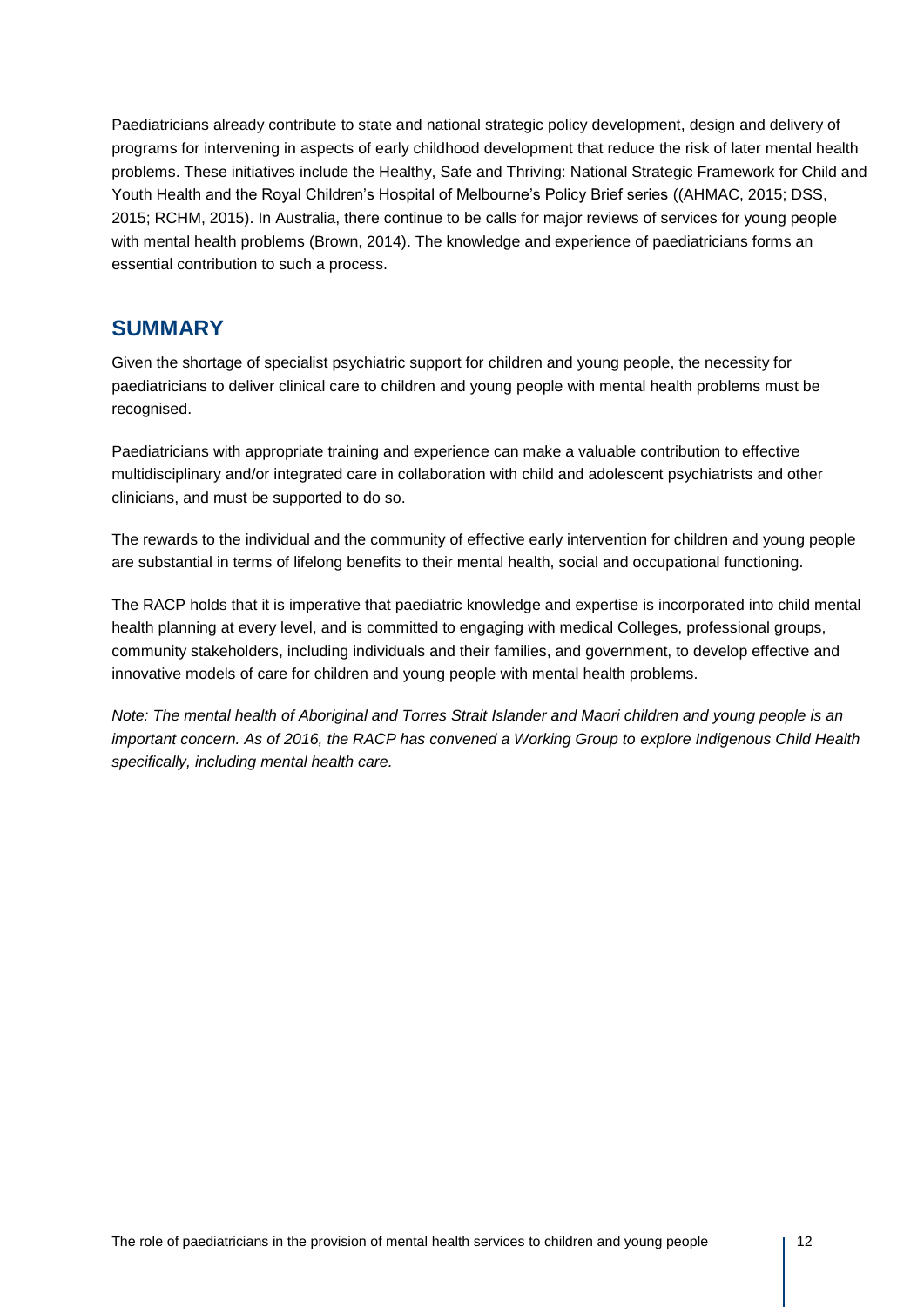Paediatricians already contribute to state and national strategic policy development, design and delivery of programs for intervening in aspects of early childhood development that reduce the risk of later mental health problems. These initiatives include the Healthy, Safe and Thriving: National Strategic Framework for Child and Youth Health and the Royal Children's Hospital of Melbourne's Policy Brief series ((AHMAC, 2015; DSS, 2015; RCHM, 2015). In Australia, there continue to be calls for major reviews of services for young people with mental health problems (Brown, 2014). The knowledge and experience of paediatricians forms an essential contribution to such a process.

## **SUMMARY**

Given the shortage of specialist psychiatric support for children and young people, the necessity for paediatricians to deliver clinical care to children and young people with mental health problems must be recognised.

Paediatricians with appropriate training and experience can make a valuable contribution to effective multidisciplinary and/or integrated care in collaboration with child and adolescent psychiatrists and other clinicians, and must be supported to do so.

The rewards to the individual and the community of effective early intervention for children and young people are substantial in terms of lifelong benefits to their mental health, social and occupational functioning.

The RACP holds that it is imperative that paediatric knowledge and expertise is incorporated into child mental health planning at every level, and is committed to engaging with medical Colleges, professional groups, community stakeholders, including individuals and their families, and government, to develop effective and innovative models of care for children and young people with mental health problems.

*Note: The mental health of Aboriginal and Torres Strait Islander and Maori children and young people is an important concern. As of 2016, the RACP has convened a Working Group to explore Indigenous Child Health specifically, including mental health care.*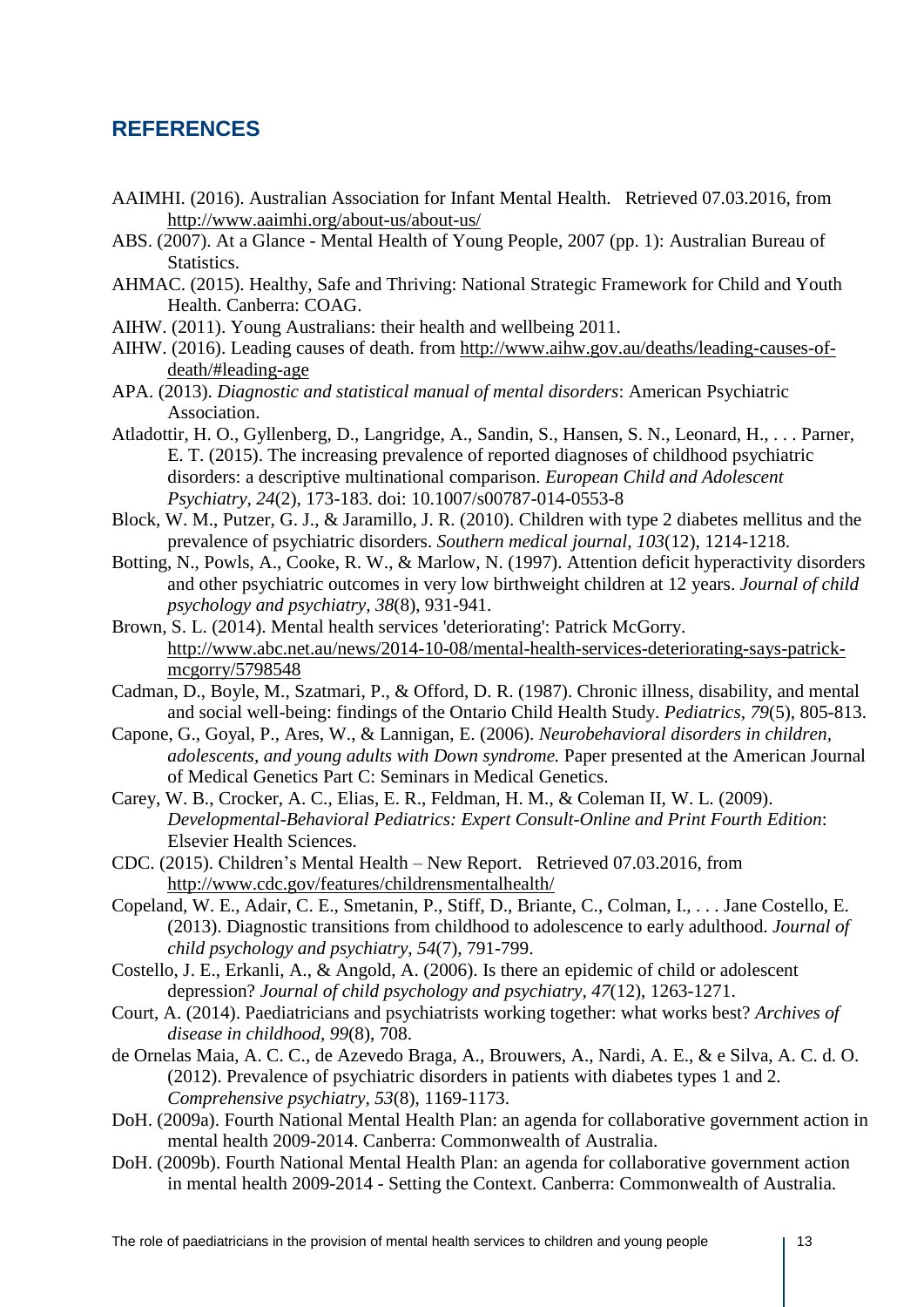## **REFERENCES**

- AAIMHI. (2016). Australian Association for Infant Mental Health. Retrieved 07.03.2016, from <http://www.aaimhi.org/about-us/about-us/>
- ABS. (2007). At a Glance Mental Health of Young People, 2007 (pp. 1): Australian Bureau of Statistics.
- AHMAC. (2015). Healthy, Safe and Thriving: National Strategic Framework for Child and Youth Health. Canberra: COAG.
- AIHW. (2011). Young Australians: their health and wellbeing 2011.
- AIHW. (2016). Leading causes of death. from [http://www.aihw.gov.au/deaths/leading-causes-of](http://www.aihw.gov.au/deaths/leading-causes-of-death/#leading-age)[death/#leading-age](http://www.aihw.gov.au/deaths/leading-causes-of-death/#leading-age)
- APA. (2013). *Diagnostic and statistical manual of mental disorders*: American Psychiatric Association.
- Atladottir, H. O., Gyllenberg, D., Langridge, A., Sandin, S., Hansen, S. N., Leonard, H., . . . Parner, E. T. (2015). The increasing prevalence of reported diagnoses of childhood psychiatric disorders: a descriptive multinational comparison. *European Child and Adolescent Psychiatry, 24*(2), 173-183. doi: 10.1007/s00787-014-0553-8
- Block, W. M., Putzer, G. J., & Jaramillo, J. R. (2010). Children with type 2 diabetes mellitus and the prevalence of psychiatric disorders. *Southern medical journal, 103*(12), 1214-1218.
- Botting, N., Powls, A., Cooke, R. W., & Marlow, N. (1997). Attention deficit hyperactivity disorders and other psychiatric outcomes in very low birthweight children at 12 years. *Journal of child psychology and psychiatry, 38*(8), 931-941.
- Brown, S. L. (2014). Mental health services 'deteriorating': Patrick McGorry. [http://www.abc.net.au/news/2014-10-08/mental-health-services-deteriorating-says-patrick](http://www.abc.net.au/news/2014-10-08/mental-health-services-deteriorating-says-patrick-mcgorry/5798548)[mcgorry/5798548](http://www.abc.net.au/news/2014-10-08/mental-health-services-deteriorating-says-patrick-mcgorry/5798548)
- Cadman, D., Boyle, M., Szatmari, P., & Offord, D. R. (1987). Chronic illness, disability, and mental and social well-being: findings of the Ontario Child Health Study. *Pediatrics, 79*(5), 805-813.
- Capone, G., Goyal, P., Ares, W., & Lannigan, E. (2006). *Neurobehavioral disorders in children, adolescents, and young adults with Down syndrome.* Paper presented at the American Journal of Medical Genetics Part C: Seminars in Medical Genetics.
- Carey, W. B., Crocker, A. C., Elias, E. R., Feldman, H. M., & Coleman II, W. L. (2009). *Developmental-Behavioral Pediatrics: Expert Consult-Online and Print Fourth Edition*: Elsevier Health Sciences.
- CDC. (2015). Children's Mental Health New Report. Retrieved 07.03.2016, from <http://www.cdc.gov/features/childrensmentalhealth/>
- Copeland, W. E., Adair, C. E., Smetanin, P., Stiff, D., Briante, C., Colman, I., . . . Jane Costello, E. (2013). Diagnostic transitions from childhood to adolescence to early adulthood. *Journal of child psychology and psychiatry, 54*(7), 791-799.
- Costello, J. E., Erkanli, A., & Angold, A. (2006). Is there an epidemic of child or adolescent depression? *Journal of child psychology and psychiatry, 47*(12), 1263-1271.
- Court, A. (2014). Paediatricians and psychiatrists working together: what works best? *Archives of disease in childhood, 99*(8), 708.
- de Ornelas Maia, A. C. C., de Azevedo Braga, A., Brouwers, A., Nardi, A. E., & e Silva, A. C. d. O. (2012). Prevalence of psychiatric disorders in patients with diabetes types 1 and 2. *Comprehensive psychiatry, 53*(8), 1169-1173.
- DoH. (2009a). Fourth National Mental Health Plan: an agenda for collaborative government action in mental health 2009-2014. Canberra: Commonwealth of Australia.
- DoH. (2009b). Fourth National Mental Health Plan: an agenda for collaborative government action in mental health 2009-2014 - Setting the Context. Canberra: Commonwealth of Australia.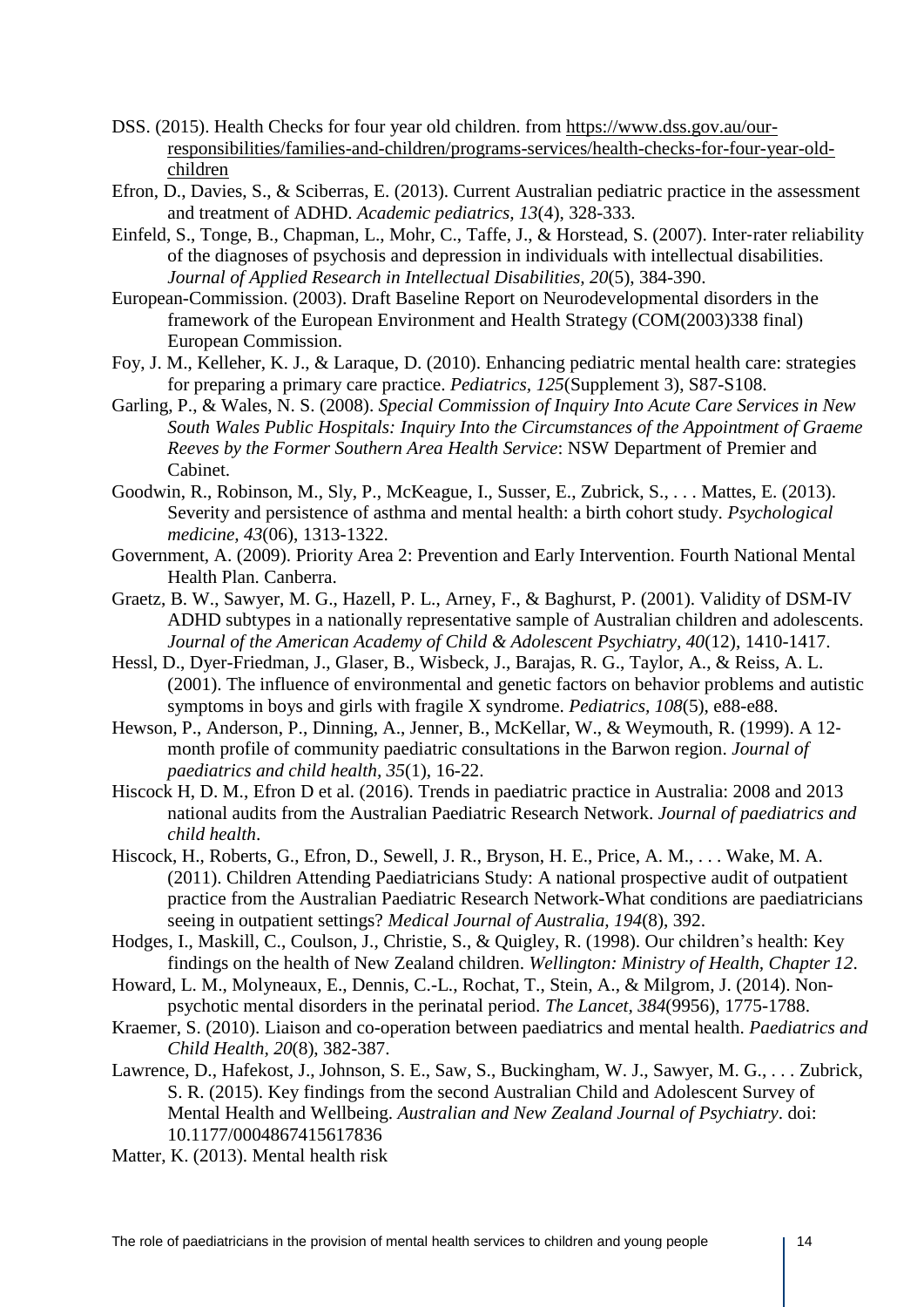- DSS. (2015). Health Checks for four year old children. from [https://www.dss.gov.au/our](https://www.dss.gov.au/our-responsibilities/families-and-children/programs-services/health-checks-for-four-year-old-children)[responsibilities/families-and-children/programs-services/health-checks-for-four-year-old](https://www.dss.gov.au/our-responsibilities/families-and-children/programs-services/health-checks-for-four-year-old-children)[children](https://www.dss.gov.au/our-responsibilities/families-and-children/programs-services/health-checks-for-four-year-old-children)
- Efron, D., Davies, S., & Sciberras, E. (2013). Current Australian pediatric practice in the assessment and treatment of ADHD. *Academic pediatrics, 13*(4), 328-333.
- Einfeld, S., Tonge, B., Chapman, L., Mohr, C., Taffe, J., & Horstead, S. (2007). Inter-rater reliability of the diagnoses of psychosis and depression in individuals with intellectual disabilities. *Journal of Applied Research in Intellectual Disabilities, 20*(5), 384-390.
- European-Commission. (2003). Draft Baseline Report on Neurodevelopmental disorders in the framework of the European Environment and Health Strategy (COM(2003)338 final) European Commission.
- Foy, J. M., Kelleher, K. J., & Laraque, D. (2010). Enhancing pediatric mental health care: strategies for preparing a primary care practice. *Pediatrics, 125*(Supplement 3), S87-S108.
- Garling, P., & Wales, N. S. (2008). *Special Commission of Inquiry Into Acute Care Services in New South Wales Public Hospitals: Inquiry Into the Circumstances of the Appointment of Graeme Reeves by the Former Southern Area Health Service*: NSW Department of Premier and Cabinet.
- Goodwin, R., Robinson, M., Sly, P., McKeague, I., Susser, E., Zubrick, S., . . . Mattes, E. (2013). Severity and persistence of asthma and mental health: a birth cohort study. *Psychological medicine, 43*(06), 1313-1322.
- Government, A. (2009). Priority Area 2: Prevention and Early Intervention. Fourth National Mental Health Plan. Canberra.
- Graetz, B. W., Sawyer, M. G., Hazell, P. L., Arney, F., & Baghurst, P. (2001). Validity of DSM-IV ADHD subtypes in a nationally representative sample of Australian children and adolescents. *Journal of the American Academy of Child & Adolescent Psychiatry, 40*(12), 1410-1417.
- Hessl, D., Dyer-Friedman, J., Glaser, B., Wisbeck, J., Barajas, R. G., Taylor, A., & Reiss, A. L. (2001). The influence of environmental and genetic factors on behavior problems and autistic symptoms in boys and girls with fragile X syndrome. *Pediatrics, 108*(5), e88-e88.
- Hewson, P., Anderson, P., Dinning, A., Jenner, B., McKellar, W., & Weymouth, R. (1999). A 12month profile of community paediatric consultations in the Barwon region. *Journal of paediatrics and child health, 35*(1), 16-22.
- Hiscock H, D. M., Efron D et al. (2016). Trends in paediatric practice in Australia: 2008 and 2013 national audits from the Australian Paediatric Research Network. *Journal of paediatrics and child health*.
- Hiscock, H., Roberts, G., Efron, D., Sewell, J. R., Bryson, H. E., Price, A. M., . . . Wake, M. A. (2011). Children Attending Paediatricians Study: A national prospective audit of outpatient practice from the Australian Paediatric Research Network-What conditions are paediatricians seeing in outpatient settings? *Medical Journal of Australia, 194*(8), 392.
- Hodges, I., Maskill, C., Coulson, J., Christie, S., & Quigley, R. (1998). Our children's health: Key findings on the health of New Zealand children. *Wellington: Ministry of Health, Chapter 12*.
- Howard, L. M., Molyneaux, E., Dennis, C.-L., Rochat, T., Stein, A., & Milgrom, J. (2014). Nonpsychotic mental disorders in the perinatal period. *The Lancet, 384*(9956), 1775-1788.
- Kraemer, S. (2010). Liaison and co-operation between paediatrics and mental health. *Paediatrics and Child Health, 20*(8), 382-387.
- Lawrence, D., Hafekost, J., Johnson, S. E., Saw, S., Buckingham, W. J., Sawyer, M. G., . . . Zubrick, S. R. (2015). Key findings from the second Australian Child and Adolescent Survey of Mental Health and Wellbeing. *Australian and New Zealand Journal of Psychiatry*. doi: 10.1177/0004867415617836
- Matter, K. (2013). Mental health risk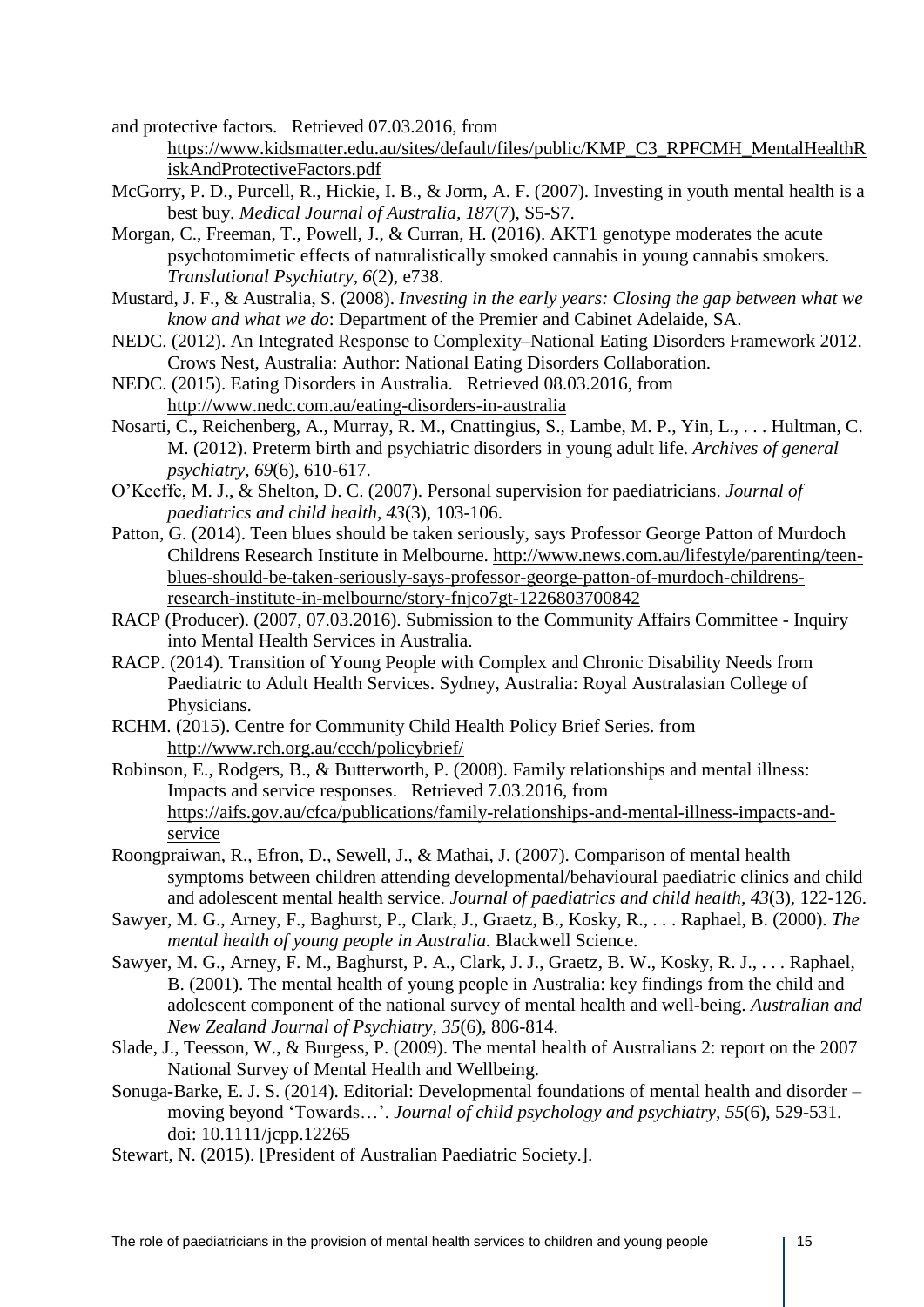and protective factors. Retrieved 07.03.2016, from

- [https://www.kidsmatter.edu.au/sites/default/files/public/KMP\\_C3\\_RPFCMH\\_MentalHealthR](https://www.kidsmatter.edu.au/sites/default/files/public/KMP_C3_RPFCMH_MentalHealthRiskAndProtectiveFactors.pdf) [iskAndProtectiveFactors.pdf](https://www.kidsmatter.edu.au/sites/default/files/public/KMP_C3_RPFCMH_MentalHealthRiskAndProtectiveFactors.pdf)
- McGorry, P. D., Purcell, R., Hickie, I. B., & Jorm, A. F. (2007). Investing in youth mental health is a best buy. *Medical Journal of Australia, 187*(7), S5-S7.
- Morgan, C., Freeman, T., Powell, J., & Curran, H. (2016). AKT1 genotype moderates the acute psychotomimetic effects of naturalistically smoked cannabis in young cannabis smokers. *Translational Psychiatry, 6*(2), e738.
- Mustard, J. F., & Australia, S. (2008). *Investing in the early years: Closing the gap between what we know and what we do*: Department of the Premier and Cabinet Adelaide, SA.
- NEDC. (2012). An Integrated Response to Complexity–National Eating Disorders Framework 2012. Crows Nest, Australia: Author: National Eating Disorders Collaboration.
- NEDC. (2015). Eating Disorders in Australia. Retrieved 08.03.2016, from <http://www.nedc.com.au/eating-disorders-in-australia>
- Nosarti, C., Reichenberg, A., Murray, R. M., Cnattingius, S., Lambe, M. P., Yin, L., . . . Hultman, C. M. (2012). Preterm birth and psychiatric disorders in young adult life. *Archives of general psychiatry, 69*(6), 610-617.
- O'Keeffe, M. J., & Shelton, D. C. (2007). Personal supervision for paediatricians. *Journal of paediatrics and child health, 43*(3), 103-106.
- Patton, G. (2014). Teen blues should be taken seriously, says Professor George Patton of Murdoch Childrens Research Institute in Melbourne. [http://www.news.com.au/lifestyle/parenting/teen](http://www.news.com.au/lifestyle/parenting/teen-blues-should-be-taken-seriously-says-professor-george-patton-of-murdoch-childrens-research-institute-in-melbourne/story-fnjco7gt-1226803700842)[blues-should-be-taken-seriously-says-professor-george-patton-of-murdoch-childrens](http://www.news.com.au/lifestyle/parenting/teen-blues-should-be-taken-seriously-says-professor-george-patton-of-murdoch-childrens-research-institute-in-melbourne/story-fnjco7gt-1226803700842)[research-institute-in-melbourne/story-fnjco7gt-1226803700842](http://www.news.com.au/lifestyle/parenting/teen-blues-should-be-taken-seriously-says-professor-george-patton-of-murdoch-childrens-research-institute-in-melbourne/story-fnjco7gt-1226803700842)
- RACP (Producer). (2007, 07.03.2016). Submission to the Community Affairs Committee Inquiry into Mental Health Services in Australia.
- RACP. (2014). Transition of Young People with Complex and Chronic Disability Needs from Paediatric to Adult Health Services. Sydney, Australia: Royal Australasian College of Physicians.
- RCHM. (2015). Centre for Community Child Health Policy Brief Series. from <http://www.rch.org.au/ccch/policybrief/>
- Robinson, E., Rodgers, B., & Butterworth, P. (2008). Family relationships and mental illness: Impacts and service responses. Retrieved 7.03.2016, from [https://aifs.gov.au/cfca/publications/family-relationships-and-mental-illness-impacts-and](https://aifs.gov.au/cfca/publications/family-relationships-and-mental-illness-impacts-and-service)[service](https://aifs.gov.au/cfca/publications/family-relationships-and-mental-illness-impacts-and-service)
- Roongpraiwan, R., Efron, D., Sewell, J., & Mathai, J. (2007). Comparison of mental health symptoms between children attending developmental/behavioural paediatric clinics and child and adolescent mental health service. *Journal of paediatrics and child health, 43*(3), 122-126.
- Sawyer, M. G., Arney, F., Baghurst, P., Clark, J., Graetz, B., Kosky, R., . . . Raphael, B. (2000). *The mental health of young people in Australia.* Blackwell Science.
- Sawyer, M. G., Arney, F. M., Baghurst, P. A., Clark, J. J., Graetz, B. W., Kosky, R. J., . . . Raphael, B. (2001). The mental health of young people in Australia: key findings from the child and adolescent component of the national survey of mental health and well-being. *Australian and New Zealand Journal of Psychiatry, 35*(6), 806-814.
- Slade, J., Teesson, W., & Burgess, P. (2009). The mental health of Australians 2: report on the 2007 National Survey of Mental Health and Wellbeing.
- Sonuga-Barke, E. J. S. (2014). Editorial: Developmental foundations of mental health and disorder moving beyond 'Towards…'. *Journal of child psychology and psychiatry, 55*(6), 529-531. doi: 10.1111/jcpp.12265
- Stewart, N. (2015). [President of Australian Paediatric Society.].